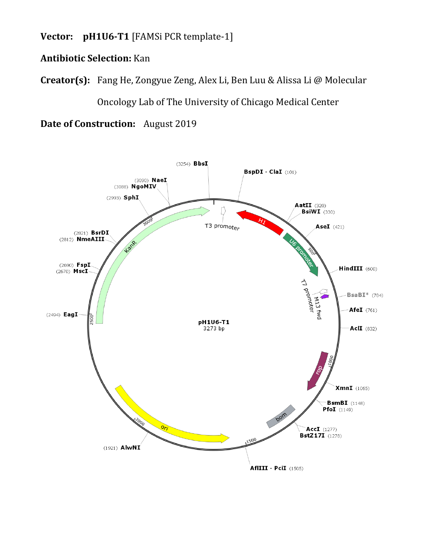**Vector: pH1U6-T1** [FAMSi PCR template-1]

## **Antibiotic Selection:** Kan

**Creator(s):** Fang He, Zongyue Zeng, Alex Li, Ben Luu & Alissa Li @ Molecular

Oncology Lab of The University of Chicago Medical Center

**Date of Construction:** August 2019

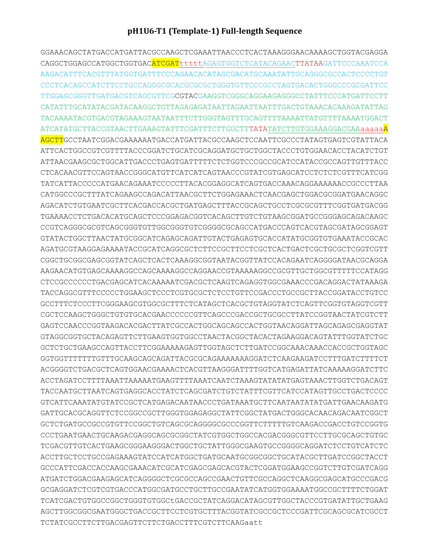## pH1U6-T1 (Template-1) Full-length Sequence

GGAAACAGCTATGACCATGATTACGCCAAGCTCGAAATTAACCCTCACTAAAGGGAACAAAAGCTGGTACGAGGA CAGGCTGGAGCCATGGCTGGTGACATCGATttttAGAGTGGTCTCATACAGAACTTATAAGATTCCCAAATCCA AAGACATTTCACGTTTATGGTGATTTCCCAGAACACATAGCGACATGCAAATATTGCAGGGCGCCACTCCCCTGT CCCTCACAGCCATCTTCCTGCCAGGGCGCACGCGCGCTGGGTGTTCCCGCCTAGTGACACTGGGCCCGCGATTCC TTGGAGCGGGTTGATGACGTCAGCGTTCGCGTACGAAGGTCGGGCAGGAAGAGGGCCTATTTCCCATGATTCCTT TACAAAATACGTGACGTAGAAAGTAATAATTTCTTGGGTAGTTTGCAGTTTTAAAATTATGTTTTAAAATGGACT ATCATATGCTTACCGTAACTTGAAAGTATTTCGATTTCTTGGCTTTATATATCTTGTGGAAAGGACGAAaaaaaa<mark>A</mark> AGCTTGCCTAATCGGACGAAAAAATGACCATGATTACGCCAAGCTCCAATTCGCCCTATAGTGAGTCGTATTACA ATTCACTGGCCGTCGTTTTACCCGGATCTGCATCGCAGGATGCTGCTGGCTACCCTGTGGAACACCTACATCTGT ATTAACGAAGCGCTGGCATTGACCCTGAGTGATTTTTCTCTGGTCCCGCCGCATCCATACCGCCAGTTGTTTACC TATCATTACCCCCATGAACAGAAATCCCCCTTACACGGAGGCATCAGTGACCAAACAGGAAAAAACCGCCCTTAA CATGGCCCGCTTTATCAGAAGCCAGACATTAACGCTTCTGGAGAAACTCAACGAGCTGGACGCGGATGAACAGGC AGACATCTGTGAATCGCTTCACGACCACGCTGATGAGCTTTACCGCAGCTGCCTCGCGCGTTTCGGTGATGACGG TGAAAACCTCTGACACATGCAGCTCCCGGAGACGGTCACAGCTTGTCTGTAAGCGGATGCCGGAGCAGACAAGC CCGTCAGGGCGCGTCAGCGGGTGTTGGCGGGTGTCGGGGCGCAGCCATGACCCAGTCACGTAGCGATAGCGGAGT GTATACTGGCTTAACTATGCGGCATCAGAGCAGATTGTACTGAGAGTGCACCATATGCGGTGTGAAATACCGCAC AGATGCGTAAGGAGAAAATACCGCATCAGGCGCTCTTCCGCTTCCTCGCTCACTGACTCGCTGCGCTCGGTCGTT CGGCTGCGGCGAGCGGTATCAGCTCACTCAAAGGCGGTAATACGGTTATCCACAGAATCAGGGGATAACGCAGGA AAGAACATGTGAGCAAAAGGCCAGCAAAAGGCCAGGAACCGTAAAAAGGCCGCGTTGCTGGCGTTTTTCCATAGG CTCCGCCCCCCTGACGAGCATCACAAAAATCGACGCTCAAGTCAGAGGTGGCGAAACCCGACAGGACTATAAAGA TACCAGGCGTTTCCCCCTGGAAGCTCCCTCGTGCGCTCTCCTGTTCCGACCCTGCCGCTTACCGGATACCTGTCC GCCTTTCTCCCTTCGGGAAGCGTGGCGCTTTCTCATAGCTCACGCTGTAGGTATCTCAGTTCGGTGTAGGTCGTT CGCTCCAAGCTGGGCTGTGTGCACGAACCCCCCGTTCAGCCCGACCGCTGCGCCTTATCCGGTAACTATCGTCTT GAGTCCAACCCGGTAAGACACGACTTATCGCCACTGGCAGCAGCCACTGGTAACAGGATTAGCAGAGCGAGGTAT GTAGGCGGTGCTACAGAGTTCTTGAAGTGGTGGCCTAACTACGGCTACACTAGAAGGACAGTATTTGGTATCTGC GGTGGTTTTTTTGTTTGCAAGCAGCAGATTACGCGCAGAAAAAAAGGATCTCAAGAAGATCCTTTGATCTTTTCT ACGGGGTCTGACGCTCAGTGGAACGAAAACTCACGTTAAGGGATTTTGGTCATGAGATTATCAAAAAGGATCTTC TACCAATGCTTAATCAGTGAGGCACCTATCTCAGCGATCTGTCTATTTCGTTCATCCATAGTTGCCTGACTCCCC GTCATTCAAATATGTATCCGCTCATGAGACAATAACCCTGATAAATGCTTCAATAATATATGATTGAACAAGATG GATTGCACGCAGGTTCTCCGGCCGCTTGGGTGGAGAGGCTATTCGGCTATGACTGGGCACAACAGACAATCGGCT TCGACGTTGTCACTGAAGCGGAAGGGACTGGCTGCTATTGGGCGAAGTGCCGGGGCAGGATCTCCTGTCATCTC ACCTTGCTCCTGCCGAGAAAGTATCCATCATGGCTGATGCAATGCGGCGGCTGCATACGCTTGATCCGGCTACCT ATGATCTGGACGAAGAGCATCAGGGGCTCGCGCCAGCCGAACTGTTCGCCAGGCTCAAGGCGAGCATGCCCGACG GCGAGGATCTCGTCGTGACCCATGCCGATGCCTGCTTGCCGAATATCATGGTGGAAAATGGCCGCTTTTCTGGAT TCATCGACTGTGGCCGGCTGGGTGTGGCtGACCGCTATCAGGACATAGCGTTGGCTACCCGTGATATTGCTGAAG AGCTTGGCGGCGAATGGGCTGACCGCTTCCTCGTGCTTTACGGTATCGCCGCTCCCGATTCGCAGCGCATCGCCT TCTATCGCCTTCTTGACGAGTTCTTCTGACCTTTCGTCTTCAAGaatt